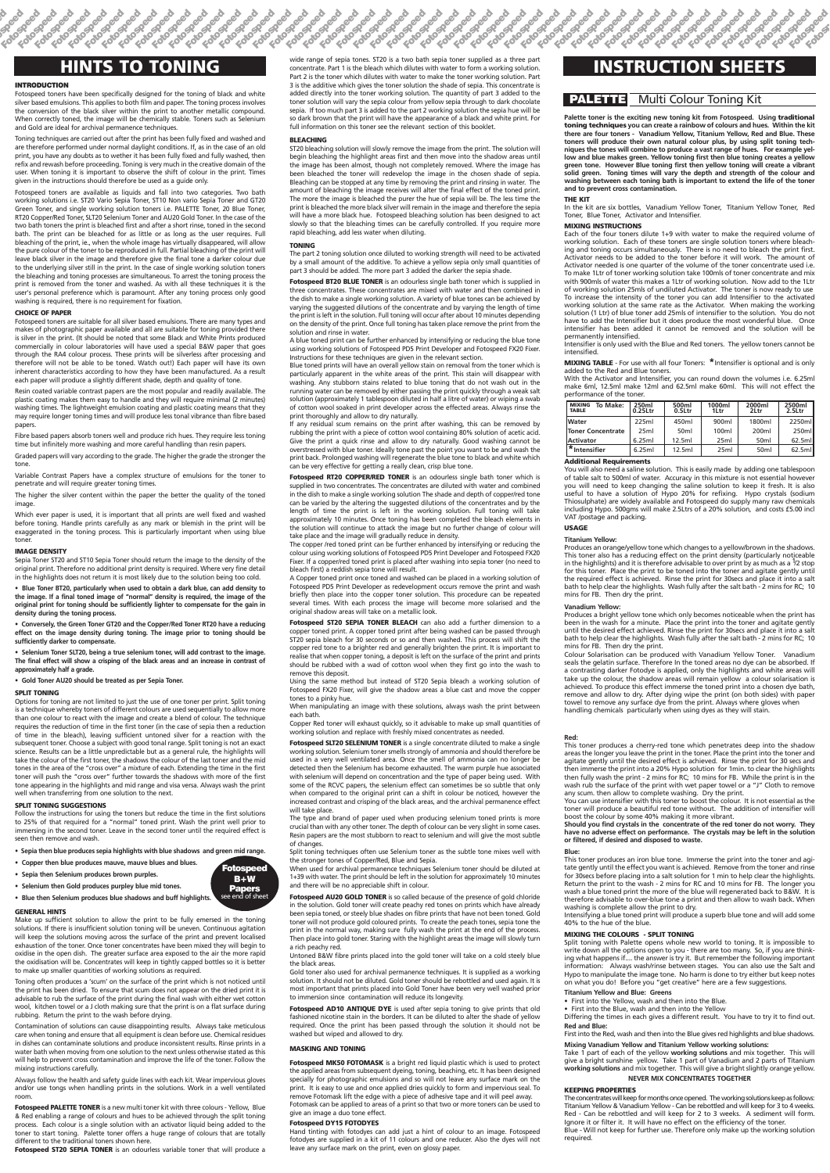**otospeed otospeed Fotospeed**

**Fotospeed Fotospeed Fotospeed Fotospeed Fotospeed Fotospeed Fotospeed Fotospeed Fotospeed**

**Fotospeed** 

**Fotospeed Fotospeed**

**Fotospeed Fotospeed** 

**Fotospeed Fotospeed Fotospeed Fotospeed Fotospeed Fotospeed Fotospeed Fotospeed Fotospeed Fotospeed Fotospeed Fotospeed Fotospeed Fotospeed Fotospeed Fotospeed Fotospeed Fotospeed Fotospeed Fotospeed Fotospeed Fotospeed Fotospeed Fotospeed Fotospeed Fotospeed**

**Fotospeed Fotospeed**

### **PALETTE** Multi Colour Toning Kit

#### **INTRODUCTION**

**Fotospeed Fotospeed** 

Fotospeed toners have been specifically designed for the toning of black and white silver based emulsions. This applies to both film and paper. The toning process involves the conversion of the black silver within the print to another metallic compound. When correctly toned, the image will be chemically stable. Toners such as Selenium and Gold are ideal for archival permanence techniques.

Toning techniques are carried out after the print has been fully fixed and washed and are therefore performed under normal daylight conditions. If, as in the case of an old print, you have any doubts as to wether it has been fully fixed and fully washed, then refix and rewash before proceeding. Toning is very much in the creative domain of the user. When toning it is important to observe the shift of colour in the print. Times given in the instructions should therefore be used as a guide only.

Fotospeed toners are available as liquids and fall into two categories. Two bath working solutions i.e. ST20 Vario Sepia Toner, ST10 Non vario Sepia Toner and GT20 Green Toner, and single working solution toners i.e. PALETTE Toner, 20 Blue Toner, RT20 Copper/Red Toner, SLT20 Selenium Toner and AU20 Gold Toner. In the case of the two bath toners the print is bleached first and after a short rinse, toned in the second bath. The print can be bleached for as little or as long as the user requires. Full bleaching of the print, ie., when the whole image has virtually disappeared, will allow the pure colour of the toner to be reproduced in full. Partial bleaching of the print will leave black silver in the image and therefore give the final tone a darker colour due to the underlying silver still in the print. In the case of single working solution toners the bleaching and toning processes are simultaneous. To arrest the toning process the print is removed from the toner and washed. As with all these techniques it is the user's personal preference which is paramount. After any toning process only good washing is required, there is no requirement for fixation.

#### **CHOICE OF PAPER**

Fotospeed toners are suitable for all silver based emulsions. There are many types and makes of photographic paper available and all are suitable for toning provided there is silver in the print. (It should be noted that some Black and White Prints produced commercially in colour laboratories will have used a special B&W paper that goes through the RA4 colour process. These prints will be silverless after processing and therefore will not be able to be toned. Watch out!) Each paper will have its own inherent characteristics according to how they have been manufactured. As a result each paper will produce a slightly different shade, depth and quality of tone.

Resin coated variable contrast papers are the most popular and readily available. The plastic coating makes them easy to handle and they will require minimal (2 minutes) washing times. The lightweight emulsion coating and plastic coating means that they may require longer toning times and will produce less tonal vibrance than fibre based papers.

Fibre based papers absorb toners well and produce rich hues. They require less toning time but infinitely more washing and more careful handling than resin papers.

Graded papers will vary according to the grade. The higher the grade the stronger the tone.

Variable Contrast Papers have a complex structure of emulsions for the toner to penetrate and will require greater toning times.

The higher the silver content within the paper the better the quality of the toned image.

Which ever paper is used, it is important that all prints are well fixed and washed before toning. Handle prints carefully as any mark or blemish in the print will be exaggerated in the toning process. This is particularly important when using blue toner.

#### **IMAGE DENSITY**

Sepia Toner ST20 and ST10 Sepia Toner should return the image to the density of the original print. Therefore no additional print density is required. Where very fine detail in the highlights does not return it is most likely due to the solution being too cold.

**• Blue Toner BT20, particularly when used to obtain a dark blue, can add density to the image. If a final toned image of "normal" density is required, the image of the original print for toning should be sufficiently lighter to compensate for the gain in density during the toning process.**

**HINTS TO TONING IMPLANTS IS A REFORE TO REFORE TO A REFORE TO A REFORE THE PROPERTY OF THE REFORE THE PROPERTY OF THE REFORE THE PROPERTY OF THE PROPERTY OF THE PROPERTY OF THE PROPERTY OF THE PROPERTY OF THE PROPERTY O** wide range of sepia tones. ST20 is a two bath sepia toner supplied as a three part concentrate. Part 1 is the bleach which dilutes with water to form a working solution. Part 2 is the toner which dilutes with water to make the toner working solution. Part 3 is the additive which gives the toner solution the shade of sepia. This concentrate is added directly into the toner working solution. The quantity of part 3 added to the toner solution will vary the sepia colour from yellow sepia through to dark chocolate sepia. If too much part 3 is added to the part 2 working solution the sepia hue will be so dark brown that the print will have the appearance of a black and white print. For full information on this toner see the relevant section of this booklet.

**• Conversely, the Green Toner GT20 and the Copper/Red Toner RT20 have a reducing effect on the image density during toning. The image prior to toning should be sufficiently darker to compensate.**

**• Selenium Toner SLT20, being a true selenium toner, will add contrast to the image. The final effect will show a crisping of the black areas and an increase in contrast of approximately half a grade.**

#### **• Gold Toner AU20 should be treated as per Sepia Toner.**

The part 2 toning solution once diluted to working strength will need to be activated by a small amount of the additive. To achieve a yellow sepia only small quantities of part 3 should be added. The more part 3 added the darker the sepia shade

#### **SPLIT TONING**

**Fotospeed BT20 BLUE TONER** is an odourless single bath toner which is supplied in three concentrates. These concentrates are mixed with water and then combined in the dish to make a single working solution. A variety of blue tones can be achieved by varying the suggested dilutions of the concentrate and by varying the length of time the print is left in the solution. Full toning will occur after about 10 minutes depending on the density of the print. Once full toning has taken place remove the print from the solution and rinse in water.

Options for toning are not limited to just the use of one toner per print. Split toning is a technique whereby toners of different colours are used sequentially to allow more than one colour to react with the image and create a blend of colour. The technique requires the reduction of time in the first toner (in the case of sepia then a reduction of time in the bleach), leaving sufficient untoned silver for a reaction with the subsequent toner. Choose a subject with good tonal range. Split toning is not an exact science. Results can be a little unpredictable but as a general rule, the highlights will take the colour of the first toner, the shadows the colour of the last toner and the mid tones in the area of the "cross over" a mixture of each. Extending the time in the first toner will push the "cross over" further towards the shadows with more of the first tone appearing in the highlights and mid range and visa versa. Always wash the print well when transferring from one solution to the next.

#### **SPLIT TONING SUGGESTIONS**

Follow the instructions for using the toners but reduce the time in the first solutions to 25% of that required for a "normal" toned print. Wash the print well prior to immersing in the second toner. Leave in the second toner until the required effect is seen then remove and wash.

**• Sepia then blue produces sepia highlights with blue shadows and green mid range.** 

- **Copper then blue produces mauve, mauve blues and blues.**
- **Sepia then Selenium produces brown purples.**

#### **GENERAL HINTS**

Make up sufficient solution to allow the print to be fully emersed in the toning solutions. If there is insufficient solution toning will be uneven. Continuous agitation will keep the solutions moving across the surface of the print and prevent localised exhaustion of the toner. Once toner concentrates have been mixed they will begin to oxidise in the open dish. The greater surface area exposed to the air the more rapid the oxidisation will be. Concentrates will keep in tightly capped bottles so it is better to make up smaller quantities of working solutions as required.

Toning often produces a 'scum' on the surface of the print which is not noticed until the print has been dried. To ensure that scum does not appear on the dried print it is advisable to rub the surface of the print during the final wash with either wet cotton wool, kitchen towel or a J cloth making sure that the print is on a flat surface during rubbing. Return the print to the wash before drying.

**Fotospeed SLT20 SELENIUM TONER** is a single concentrate diluted to make a single working solution. Selenium toner smells strongly of ammonia and should therefore be used in a very well ventilated area. Once the smell of ammonia can no longer be detected then the Selenium has become exhausted. The warm purple hue associated with selenium will depend on concentration and the type of paper being used. With some of the RCVC papers, the selenium effect can sometimes be so subtle that only when compared to the original print can a shift in colour be noticed, however the increased contrast and crisping of the black areas, and the archival permanence effect will take place.

Contamination of solutions can cause disappointing results. Always take meticulous care when toning and ensure that all equipment is clean before use. Chemical residues in dishes can contaminate solutions and produce inconsistent results. Rinse prints in a water bath when moving from one solution to the next unless otherwise stated as this will help to prevent cross contamination and improve the life of the toner. Follow the mixing instructions carefully.

Always follow the health and safety guide lines with each kit. Wear impervious gloves and/or use tongs when handling prints in the solutions. Work in a well ventilated room.

**Fotospeed PALETTE TONER** is a new multi toner kit with three colours - Yellow, Blue & Red enabling a range of colours and hues to be achieved through the split toning process. Each colour is a single solution with an activator liquid being added to the toner to start toning. Palette toner offers a huge range of colours that are totally different to the traditional toners shown here.

Fotospeed ST20 SEPIA TONER is an odourless variable toner that will produce a

#### **BLEACHING**

ST20 bleaching solution will slowly remove the image from the print. The solution will begin bleaching the highlight areas first and then move into the shadow areas until the image has been almost, though not completely removed. Where the image has been bleached the toner will redevelop the image in the chosen shade of sepia. Bleaching can be stopped at any time by removing the print and rinsing in water. The amount of bleaching the image receives will alter the final effect of the toned print. The more the image is bleached the purer the hue of sepia will be. The less time the print is bleached the more black silver will remain in the image and therefore the sepia will have a more black hue. Fotospeed bleaching solution has been designed to act slowly so that the bleaching times can be carefully controlled. If you require more rapid bleaching, add less water when diluting.

#### **TONING**

A blue toned print can be further enhanced by intensifying or reducing the blue tone using working solutions of Fotospeed PD5 Print Developer and Fotospeed FX20 Fixer. Instructions for these techniques are given in the relevant section.

Blue toned prints will have an overall yellow stain on removal from the toner which is particularly apparent in the white areas of the print. This stain will disappear with washing. Any stubborn stains related to blue toning that do not wash out in the running water can be removed by either passing the print quickly through a weak salt solution (approximately 1 tablespoon diluted in half a litre of water) or wiping a swab of cotton wool soaked in print developer across the effected areas. Always rinse the print thoroughly and allow to dry naturally.

If any residual scum remains on the print after washing, this can be removed by rubbing the print with a piece of cotton wool containing 80% solution of acetic acid. Give the print a quick rinse and allow to dry naturally. Good washing cannot be overstressed with blue toner. Ideally tone past the point you want to be and wash the print back. Prolonged washing will regenerate the blue tone to black and white which can be very effective for getting a really clean, crisp blue tone.

**Fotospeed RT20 COPPER/RED TONER** is an odourless single bath toner which is supplied in two concentrates. The concentrates are diluted with water and combined in the dish to make a single working solution The shade and depth of copper/red tone can be varied by the altering the suggested dilutions of the concentrates and by the length of time the print is left in the working solution. Full toning will take approximately 10 minutes. Once toning has been completed the bleach elements in the solution will continue to attack the image but no further change of colour will take place and the image will gradually reduce in density.

The copper /red toned print can be further enhanced by intensifying or reducing the colour using working solutions of Fotospeed PD5 Print Developer and Fotospeed FX20 Fixer. If a copper/red toned print is placed after washing into sepia toner (no need to bleach first) a reddish sepia tone will result.

A Copper toned print once toned and washed can be placed in a working solution of Fotospeed PD5 Print Developer as redevelopment occurs remove the print and wash briefly then place into the copper toner solution. This procedure can be repeated several times. With each process the image will become more solarised and the original shadow areas will take on a metallic look.

**Fotospeed ST20 SEPIA TONER BLEACH** can also add a further dimension to a copper toned print. A copper toned print after being washed can be passed through ST20 sepia bleach for 30 seconds or so and then washed. This process will shift the copper red tone to a brighter red and generally brighten the print. It is important to realise that when copper toning, a deposit is left on the surface of the print and prints should be rubbed with a wad of cotton wool when they first go into the wash to remove this deposit.

Using the same method but instead of ST20 Sepia bleach a working solution of Fotospeed FX20 Fixer, will give the shadow areas a blue cast and move the copper tones to a pinky hue.

When manipulating an image with these solutions, always wash the print between each bath.

Copper Red toner will exhaust quickly, so it advisable to make up small quantities of working solution and replace with freshly mixed concentrates as needed.

The type and brand of paper used when producing selenium toned prints is more crucial than with any other toner. The depth of colour can be very slight in some cases. Resin papers are the most stubborn to react to selenium and will give the most subtle of changes.

Split toning techniques often use Selenium toner as the subtle tone mixes well with the stronger tones of Copper/Red, Blue and Sepia.

When used for archival permanence techniques Selenium toner should be diluted at 1+39 with water. The print should be left in the solution for approximately 10 minutes and there will be no appreciable shift in colour.

**Fotospeed Fotospeed Fotospeed Fotospeed** 

**Fotospeed AU20 GOLD TONER** is so called because of the presence of gold chloride in the solution. Gold toner will create peachy red tones on prints which have already been sepia toned, or steely blue shades on fibre prints that have not been toned. Gold toner will not produce gold coloured prints. To create the peach tones, sepia tone the print in the normal way, making sure fully wash the print at the end of the process. Then place into gold toner. Staring with the highlight areas the image will slowly turn a rich peachy red.

Untoned B&W fibre prints placed into the gold toner will take on a cold steely blue the black areas.

Gold toner also used for archival permanence techniques. It is supplied as a working solution. It should not be diluted. Gold toner should be rebottled and used again. It is most important that prints placed into Gold Toner have been very well washed prior to immersion since contamination will reduce its longevity.

**Fotospeed AD10 ANTIQUE DYE** is used after sepia toning to give prints that old fashioned nicotine stain in the borders. It can be diluted to alter the shade of yellow required. Once the print has been passed through the solution it should not be washed but wiped and allowed to dry.

### **MASKING AND TONING**

**Fotospeed MK50 FOTOMASK** is a bright red liquid plastic which is used to protect the applied areas from subsequent dyeing, toning, beaching, etc. It has been designed specially for photographic emulsions and so will not leave any surface mark on the print. It is easy to use and once applied dries quickly to form and impervious seal. To remove Fotomask lift the edge with a piece of adhesive tape and it will peel away. Fotomask can be applied to areas of a print so that two or more toners can be used to give an image a duo tone effect.

#### **Fotospeed DY15 FOTODYES**

Hand tinting with fotodyes can add just a hint of colour to an image. Fotospeed fotodyes are supplied in a kit of 11 colours and one reducer. Also the dyes will not leave any surface mark on the print, even on glossy paper.

**Palette toner is the exciting new toning kit from Fotospeed. Using traditional toning techniques you can create a rainbow of colours and hues. Within the kit there are four toners - Vanadium Yellow, Titanium Yellow, Red and Blue. These toners will produce their own natural colour plus, by using split toning techniques the tones will combine to produce a vast range of hues. For example yel-low and blue makes green. Yellow toning first then blue toning creates a yellow green tone. However Blue toning first then yellow toning will create a vibrant solid green. Toning times will vary the depth and strength of the colour and washing between each toning bath is important to extend the life of the toner and to prevent cross contamination.**

#### **THE KIT**

In the kit are six bottles, Vanadium Yellow Toner, Titanium Yellow Toner, Red Toner, Blue Toner, Activator and Intensifier.

#### **MIXING INSTRUCTIONS**

Each of the four toners dilute 1+9 with water to make the required volume of working solution. Each of these toners are single solution toners where bleaching and toning occurs simultaneously. There is no need to bleach the print first. Activator needs to be added to the toner before it will work. The amount of Activator needed is one quarter of the volume of the toner concentrate used i.e. To make 1Ltr of toner working solution take 100mls of toner concentrate and mix with 900mls of water this makes a 1Ltr of working solution. Now add to the 1Ltr of working solution 25mls of undiluted Activator. The toner is now ready to use To increase the intensity of the toner you can add Intensifier to the activated working solution at the same rate as the Activator. When making the working solution (1 Ltr) of blue toner add 25mls of intensifier to the solution. You do not have to add the Intensifier but it does produce the most wonderful blue. Once intensifier has been added it cannot be removed and the solution will be permanently intensified.

Intensifier is only used with the Blue and Red toners. The yellow toners cannot be intensified.

**MIXING TABLE** - For use with all four Toners: **\***Intensifier is optional and is only added to the Red and Blue toners.

With the Activator and Intensifier, you can round down the volumes i.e. 6.25ml make 6ml, 12.5ml make 12ml and 62.5ml make 60ml. This will not effect the performance of the toner.

#### **Additional Requirements**

You will also need a saline solution. This is easily made by adding one tablespoon of table salt to 500ml of water. Accuracy in this mixture is not essential however you will need to keep changing the saline solution to keep it fresh. It is also useful to have a solution of Hypo 20% for refixing. Hypo crystals (sodium Thiosulphate) are widely available and Fotospeed do supply many raw chemicals including Hypo. 500gms will make 2.5Ltrs of a 20% solution, and costs £5.00 incl VAT /postage and packing.

### **USAGE**

#### **Titanium Yellow:**

Produces an orange/yellow tone which changes to a yellow/brown in the shadows. This toner also has a reducing effect on the print density (particularly noticeable in the highlights) and it is therefore advisable to over print by as much as a  $\frac{1}{2}$  stop for this toner. Place the print to be toned into the toner and agitate gently until the required effect is achieved. Rinse the print for 30secs and place it into a salt bath to help clear the highlights. Wash fully after the salt bath - 2 mins for RC; 10 mins for FB. Then dry the print.

#### **Vanadium Yellow:**

Produces a bright yellow tone which only becomes noticeable when the print has been in the wash for a minute. Place the print into the toner and agitate gently until the desired effect achieved. Rinse the print for 30secs and place it into a salt bath to help clear the highlights. Wash fully after the salt bath - 2 mins for RC; 10 mins for FB. Then dry the print.

Colour Solarisation can be produced with Vanadium Yellow Toner. Vanadium seals the gelatin surface. Therefore In the toned areas no dye can be absorbed. If a contrasting darker Fotodye is applied, only the highlights and white areas will take up the colour, the shadow areas will remain yellow a colour solarisation is achieved. To produce this effect immerse the toned print into a chosen dye bath, remove and allow to dry. After dying wipe the print (on both sides) with paper towel to remove any surface dye from the print. Always where gloves when handling chemicals particularly when using dyes as they will stain.

#### **Red:**

This toner produces a cherry-red tone which penetrates deep into the shadow areas the longer you leave the print in the toner. Place the print into the toner and agitate gently until the desired effect is achieved. Rinse the print for 30 secs and then immerse the print into a 20% Hypo solution for 1min. to clear the highlights then fully wash the print - 2 mins for RC; 10 mins for FB. While the print is in the wash rub the surface of the print with wet paper towel or a "J" Cloth to remove any scum. then allow to complete washing. Dry the print.

You can use intensifier with this toner to boost the colour. It is not essential as the toner will produce a beautiful red tone without. The addition of intensifier will boost the colour by some 40% making it more vibrant.

**Should you find crystals in the concentrate of the red toner do not worry. They have no adverse effect on performance. The crystals may be left in the solution or filtered, if desired and disposed to waste.**

#### **Blue:**

This toner produces an iron blue tone. Immerse the print into the toner and agitate gently until the effect you want is achieved. Remove from the toner and rinse for 30secs before placing into a salt solution for 1 min to help clear the highlights. Return the print to the wash - 2 mins for RC and 10 mins for FB. The longer you wash a blue toned print the more of the blue will regenerated back to B&W. It is therefore advisable to over-blue tone a print and then allow to wash back. When washing is complete allow the print to dry. Intensifying a blue toned print will produce a superb blue tone and will add some 40% to the hue of the blue.

- $m$  then Gold produces purpley blue mid tones
- **Blue then Selenium produces blue shadows and buff highlights.** see end of sheet

#### **MIXING THE COLOURS - SPLIT TONING**

Split toning with Palette opens whole new world to toning. It is impossible to write down all the options open to you - there are too many. So, if you are thinking what happens if.... the answer is try it. But remember the following important information: Always wash/rinse between stages. You can also use the Salt and Hypo to manipulate the image tone. No harm is done to try either but keep notes on what you do! Before you "get creative" here are a few suggestions.

#### **Titanium Yellow and Blue: Greens**

- First into the Yellow, wash and then into the Blue.
- First into the Blue, wash and then into the Yellow

Differing the times in each gives a different result. You have to try it to find out.

#### **Red and Blue:**

First into the Red, wash and then into the Blue gives red highlights and blue shadows.

### **Mixing Vanadium Yellow and Titanium Yellow working solutions:**

Take 1 part of each of the yellow **working solutions** and mix together. This will give a bright sunshine yellow. Take 1 part of Vanadium and 2 parts of Titanium **working solutions** and mix together. This will give a bright slightly orange yellow.

#### **NEVER MIX CONCENTRATES TOGETHER**

#### **KEEPING PROPERTIES**

The concentrates will keep for months once opened. The working solutions keep as follows: Titanium Yellow & Vanadium Yellow - Can be rebottled and will keep for 3 to 4 weeks. Red - Can be rebottled and will keep for 2 to 3 weeks. A sediment will form. Ignore it or filter it. It will have no effect on the efficiency of the toner. Blue - Will not keep for further use. Therefore only make up the working solution required.

| To Make:<br><b>MIXING</b><br><b>TABLE</b> | 250ml<br>$0.25$ Ltr | 500ml<br>0.5Ltr  | 1000ml<br>1Ltr | 2000ml<br>2Ltr   | 2500ml<br>2.5Ltr |
|-------------------------------------------|---------------------|------------------|----------------|------------------|------------------|
| <b>Water</b>                              | 225ml               | 450ml            | 900ml          | 1800ml           | 2250ml           |
| <b>Toner Concentrate</b>                  | 25ml                | 50 <sub>ml</sub> | 100ml          | 200ml            | 250ml            |
| <b>Activator</b>                          | 6.25ml              | 12.5ml           | 25ml           | 50 <sub>ml</sub> | 62.5ml           |
| I <sup>*</sup> Intensifier                | 6.25ml              | 12.5ml           | 25ml           | 50 <sub>ml</sub> | 62.5ml           |

**Fotospeed B+W**